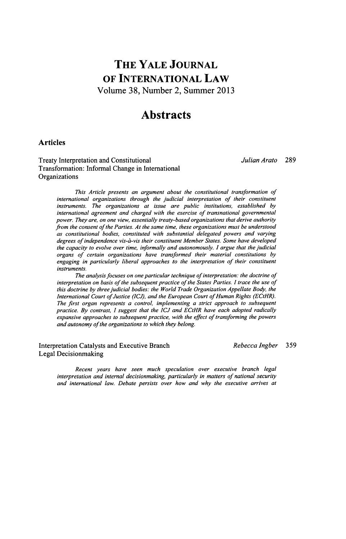# **THE YALE JOURNAL OF INTERNATIONAL LAW** Volume **38,** Number 2, Summer **2013**

## **Abstracts**

### **Articles**

Treaty Interpretation and Constitutional *Julian Arato* **289** Transformation: Informal Change in International **Organizations** 

*This Article presents an argument about the constitutional transformation of international organizations through the judicial interpretation of their constituent instruments. The organizations at issue are public institutions, established by international agreement and charged with the exercise of transnational governmental power. They are, on one view, essentially treaty-based organizations that derive authority from the consent of the Parties. At the same time, these organizations must be understood as constitutional bodies, constituted with substantial delegated powers and varying degrees of independence vis-a-vis their constituent Member States. Some have developed the capacity to evolve over time, informally and autonomously. I argue that the judicial organs of certain organizations have transformed their material constitutions by engaging in particularly liberal approaches to the interpretation of their constituent instruments.*

*The analysis focuses on one particular technique of interpretation: the doctrine of interpretation on basis of the subsequent practice of the States Parties. I trace the use of this doctrine by three judicial bodies: the World Trade Organization Appellate Body, the International Court of Justice (ICJ), and the European Court of Human Rights (ECtHR). The first organ represents a control, implementing a strict approach to subsequent practice. By contrast, I suggest that the ICJ and ECtHR have each adopted radically expansive approaches to subsequent practice, with the effect of transforming the powers and autonomy of the organizations to which they belong.*

Interpretation Catalysts and Executive Branch *Rebecca Ingber* **359** Legal Decisionmaking

*Recent years have seen much speculation over executive branch legal interpretation and internal decisionmaking, particularly in matters of national security and international law. Debate persists over how and why the executive arrives at*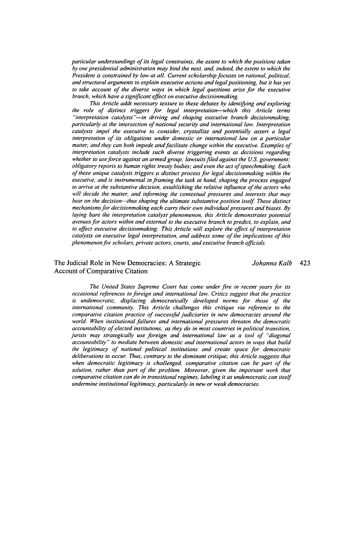*particular understandings of its legal constraints, the extent to which the positions taken by one presidential administration may bind the next, and, indeed, the extent to which the President is constrained by law at all. Current scholarship focuses on rational, political, and structural arguments to explain executive actions and legal positioning, but it has yet to take account of the diverse ways in which legal questions arise for the executive branch, which have a significant effect on executive decisionmaking.*

*This Article adds necessary texture to these debates by identifying and exploring the role of distinct triggers for legal interpretation-which this Article terms "interpretation catalysts "-in driving and shaping executive branch decisionmaking, particularly at the intersection of national security and international law. Interpretation catalysts impel the executive to consider, crystallize and potentially assert a legal interpretation of its obligations under domestic or international law on a particular matter, and they can both impede and facilitate change within the executive. Examples of interpretation catalysts include such diverse triggering events as decisions regarding whether to use force against an armed group; lawsuits filed against the US. government; obligatory reports to human rights treaty bodies; and even the act ofspeechmaking. Each of these unique catalysts triggers a distinct process for legal decisionmaking within the executive, and is instrumental in framing the task at hand, shaping the process engaged to arrive at the substantive decision, establishing the relative influence of the actors who will decide the matter, and informing the contextual pressures and interests that may* bear on the decision-thus shaping the ultimate substantive position itself. These distinct *mechanisms for decisionmaking each carry their own individual pressures and biases. By laying bare the interpretation catalyst phenomenon, this Article demonstrates potential avenues for actors within and external to the executive branch to predict, to explain, and to affect executive decisionmaking. This Article will explore the effect of interpretation catalysts on executive legal interpretation, and address some of the implications of this phenomenon for scholars, private actors, courts, and executive branch officials.*

### The Judicial Role in New Democracies: **A** Strategic *Johanna Kalb* 423 Account of Comparative Citation

*The United States Supreme Court has come under fire in recent years for its occasional references to foreign and international law. Critics suggest that the practice is undemocratic, displacing democratically developed norms for those of the international community. This Article challenges this critique via reference to the comparative citation practice of successful judiciaries in new democracies around the world. When institutional failures and international pressures threaten the democratic accountability of elected institutions, as they do in most countries in political transition, jurists may strategically use foreign and international law as a tool of "diagonal accountability" to mediate between domestic and international actors in ways that build the legitimacy of national political institutions and create space for democratic deliberations to occur. Thus, contrary to the dominant critique, this Article suggests that when democratic legitimacy is challenged, comparative citation can be part of the solution, rather than part of the problem. Moreover, given the important work that comparative citation can do in transitional regimes, labeling it as undemocratic can itself undermine institutional legitimacy, particularly in new or weak democracies.*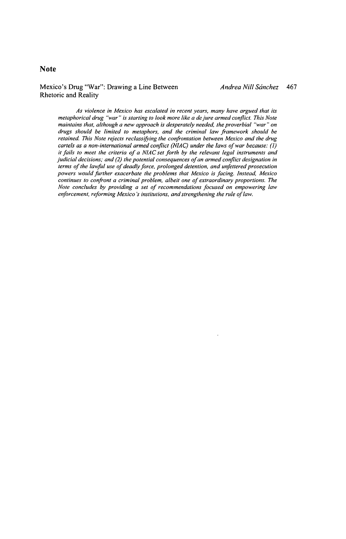## **Note**

## Mexico's Drug "War": Drawing a Line Between *Andrea Nill Scinchez 467* Rhetoric and Reality

As violence in Mexico has escalated in recent years, many have argued that its metaphorical drug "war" is starting to look more like a de jure armed conflict. This Note maintains that, although a new approach is desperately needed, the proverbial "war" on drugs should be limited to metaphors, and the criminal law framework should be retained. This Note rejects reclassifying the confrontation between Mexico and the drug cartels as a non-international armed conflict (NIAC) under the laws of war because: **(1)** it fails to meet the criteria of a NIAC set forth by the relevant legal instruments and judicial decisions; and (2) the potential consequences of an armed conflict designation in terms of the lawful use of deadly force, prolonged detention, and unfettered prosecution powers would further exacerbate the problems that Mexico is facing. Instead, Mexico continues to confront a criminal problem, albeit one of extraordinary proportions. The Note concludes **by** providing a set of recommendations focused on empowering law enforcement, reforming Mexico's institutions, and strengthening the rule of law.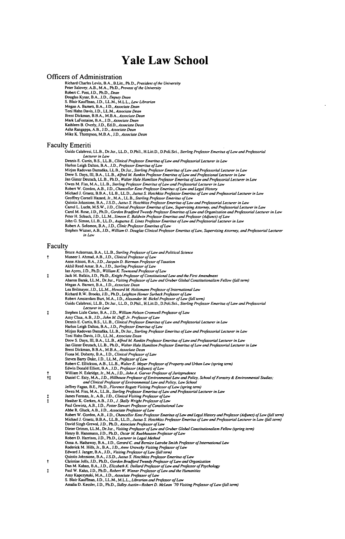# Yale Law School

### Officers of Administration

Richard Charles Levin, B.A., B.Litt., Ph.D., President of the University Peter Salovey, A.B., M.A., Ph.D., *Provost of the University*<br>Robert C. Post, J.D., Ph.D., *Dean<br>Douglas Kysar, B.A., J.D., Deputy Dean<br>S. Blair Kauffman, J.D., LL.M., M.L.L., <i>Law Librarian*<br>Megan A. Barnett, B.A., J.D., Toni Hahn Davis, **J.D.,** LL.M., Associate Dean Brent Dickman, B.B.A., M.B.A., Associate Dean Mark LaFontaine, B.A., **J.D.,** *Associate* Dean Kathleen B. overly, **J.D.,** Ed.D., *Associate Dean* Asha Rangappa, **A.B., J.D.,** *Associate Dean* Mike K. Thompson, M.B.A., **J.D.,** Associate *Dean*

#### Faculty Emeriti

Guido Calabresi, LL.B., Dr.Jur., LL.D., D.Phil., H.Litt.D., D.Poli.Sci, *Sterling Professor* Emeritus *of Law and Professorial* Lecturer in Law Dennis **E.** *Cuatis,* B.S., LL.B., Clinical Professor *Emeritus of Law and Professorial Lecturer in Law*

Harlon Leigh Dalton, B.A., J.D., *Professor Emeritus of Law* and *Professorial Lecturer in Law*<br>Mitjan Radovan Damaska, L.L.B., *Afred M. Sterling Professor Emeritus of Law and Professorial Lecturer in Law*<br>Drew S. Days, I

- 
- 

Carol M. Rose, J.D., Ph.D., *Gordon Bradford Tweety Professor Emeritus of Law and Organization and Professorial Lecturer in Law*<br>Peter H. Schuck, J.D., P.L.M., S*imeon E. Baldwin Professor Emeritus of Arrofessor (Adjunct)* in Law

| Faculty      |                                                                                                                                      |  |
|--------------|--------------------------------------------------------------------------------------------------------------------------------------|--|
|              | Bruce Ackerman, B.A., LL.B., Sterling Professor of Law and Political Science                                                         |  |
| t            | Muneer I. Ahmad, A.B., J.D., Clinical Professor of Law                                                                               |  |
|              | Anne Alstott, B.A., J.D., Jacquin D. Bierman Professor of Taxation                                                                   |  |
|              | Akhil Reed Amar, B.A., J.D., Sterling Professor of Law                                                                               |  |
|              | Ian Ayres, J.D., Ph.D., William K. Townsend Professor of Law                                                                         |  |
| ŧ            | Jack M. Balkin, J.D., Ph.D., Knight Professor of Constitutional Law and the First Amendment                                          |  |
|              | Aharon Barak, LL.M., Dr.Jur., Visiting Professor of Law and Gruber Global Constitutionalism Fellow (fall term)                       |  |
|              | Megan A. Barnett, B.A., J.D., Associate Dean                                                                                         |  |
|              | Lea Brilmayer, J.D., LL.M., Howard M. Holtzmann Professor of International Law                                                       |  |
|              | Richard R.W. Brooks, J.D., Ph.D., Leighton Homer Surbeck Professor of Law                                                            |  |
|              | Robert Amsterdam Burt, M.A., J.D., Alexander M. Bickel Professor of Law (fall term)                                                  |  |
|              | Guido Calabresi, LL.B., Dr.Jur., LL.D., D.Phil., H.Litt.D., D.Poli.Sci., Sterling Professor Emeritus of Law and Professorial         |  |
|              | Lecturer in Law                                                                                                                      |  |
| ţ            | Stephen Lisle Carter, B.A., J.D., William Nelson Cromwell Professor of Law                                                           |  |
|              | Amy Chua, A.B., J.D., John M. Duff, Jr. Professor of Law                                                                             |  |
|              | Dennis E. Curtis, B.S., LL.B., Clinical Professor Emeritus of Law and Professorial Lecturer in Law                                   |  |
|              | Harlon Leigh Dalton, B.A., J.D., Professor Emeritus of Law                                                                           |  |
|              | Mirjan Radovan Damaška, LL.B., Dr.Jur., Sterling Professor Emeritus of Law and Professorial Lecturer in Law                          |  |
|              | Toni Hahn Davis, J.D., LL.M., Associate Dean                                                                                         |  |
|              | Drew S. Days, III, B.A., LL.B., Alfred M. Rankin Professor Emeritus of Law and Professorial Lecturer in Law                          |  |
|              | Jan Ginter Deutsch, LL.B., Ph.D., Walter Hale Hamilton Professor Emeritus of Law and Professorial Lecturer in Law                    |  |
|              | Brent Dickman, B.B.A., M.B.A., Associate Dean                                                                                        |  |
|              | Fiona M. Doherty, B.A., J.D., Clinical Professor of Law                                                                              |  |
|              | Steven Barry Duke, J.D., LL.M., Professor of Law                                                                                     |  |
|              | Robert C. Ellickson, A.B., LL.B., Walter E. Meyer Professor of Property and Urban Law (spring term)                                  |  |
|              | Edwin Donald Elliott, B.A., J.D., Professor (Adjunct) of Law                                                                         |  |
| t            | William N. Eskridge, Jr., M.A., J.D., John A. Garver Professor of Jurisprudence                                                      |  |
| $^{\dagger}$ | Daniel C. Esty, M.A., J.D., Hillhouse Professor of Environmental Law and Policy, School of Forestry & Environmental Studies;         |  |
|              | and Clinical Professor of Environmental Law and Policy, Law School                                                                   |  |
|              | Jeffrey Fagan, B.E., Ph.D., Florence Rogatz Visiting Professor of Law (spring term)                                                  |  |
|              | Owen M. Fiss, M.A., LL.B., Sterling Professor Emeritus of Law and Professorial Lecturer in Law                                       |  |
| ţ            | James Forman, Jr., A.B., J.D., Clinical Visiting Professor of Law                                                                    |  |
| $\ddagger$   | Heather K. Gerken, A.B., J.D., J. Skelly Wright Professor of Law                                                                     |  |
|              | Paul Gewirtz, A.B., J.D., Potter Stewart Professor of Constitutional Law                                                             |  |
|              | Abbe R. Gluck, A.B., J.D., Associate Professor of Law                                                                                |  |
|              | Robert W. Gordon, A.B., J.D., Chancellor Kent Professor Emeritus of Law and Legal History and Professor (Adjunct) of Law (fall term) |  |
|              | Michael J. Graetz, B.B.A., LL.B., LL.D., Justus S. Hotchkiss Professor Emeritus of Law and Professorial Lecturer in Law (fall term)  |  |
|              | David Singh Grewal, J.D., Ph.D., Associate Professor of Law                                                                          |  |
|              | Dieter Grimm, LL.M., Dr.Jur., Visiting Professor of Law and Gruber Global Constitutionalism Fellow (spring term)                     |  |
|              | Henry B. Hansmann, J.D., Ph.D., Oscar M. Ruebhausen Professor of Law                                                                 |  |
|              | Robert D. Harrison, J.D., Ph.D., Lecturer in Legal Method                                                                            |  |
|              | Oona A. Hathaway, B.A., J.D., Gerard C. and Bernice Latrobe Smith Professor of International Law                                     |  |
|              | Roderick M. Hills, Jr., B.A., J.D., Anne Urowsky Visiting Professor of Law                                                           |  |
|              | Edward J. Janger, B.A., J.D., Visiting Professor of Law (fall term)                                                                  |  |
|              | Quintin Johnstone, B.A., J.S.D., Justus S. Hotchkiss Professor Emeritus of Law                                                       |  |
| t            | Christine Jolls, J.D., Ph.D., Gordon Bradford Tweedy Professor of Law and Organization                                               |  |
|              | Dan M. Kahan, B.A., J.D., Elizabeth K. Dollard Professor of Law and Professor of Psychology                                          |  |
| ŧ            | Paul W. Kahn, J.D., Ph.D., Robert W. Winner Professor of Law and the Humanities                                                      |  |
|              | Amy Kapczynski, M.A., J.D., Associate Professor of Law                                                                               |  |
|              | S. Blair Kauffman, J.D., LL.M., M.L.L., Librarian and Professor of Law                                                               |  |
|              | Amalia D. Kessler, J.D., Ph.D., Sidley Austin-Robert D. McLean '70 Visiting Professor of Law (fall term)                             |  |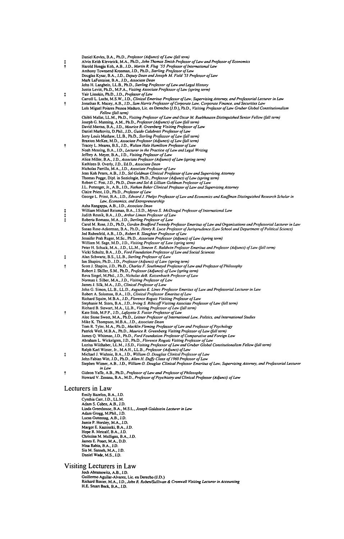|      | Daniel Kevles, B.A., Ph.D., Professor (Adjunct) of Law (fall term)                                                                 |
|------|------------------------------------------------------------------------------------------------------------------------------------|
|      | Alvin Keith Klevorick, M.A., Ph.D., John Thomas Smith Professor of Law and Professor of Economics                                  |
| ŧ    | Harold Hongju Koh, A.B., J.D., Martin R. Flug '55 Professor of International Law                                                   |
|      | Anthony Townsend Kronman, J.D., Ph.D., Sterling Professor of Law                                                                   |
|      | Douglas Kysar, B.A., J.D., Deputy Dean and Joseph M. Field '55 Professor of Law                                                    |
|      | Mark LaFontaine, B.A., J.D., Associate Dean                                                                                        |
|      | John H. Langbein, LL.B., Ph.D., Sterling Professor of Law and Legal History                                                        |
|      | Justin Levitt, Ph.D., M.P.A., Visiting Associate Professor of Law (spring term)                                                    |
| Ŧ    | Yair Listokin, Ph.D., J.D., Professor of Law                                                                                       |
|      | Carroll L. Lucht, M.S.W., J.D., Clinical Emeritus Professor of Law, Supervising Attorney, and Professorial Lecturer in Law         |
| t    | Jonathan R. Macey, A.B., J.D., Sam Harris Professor of Corporate Law, Corporate Finance, and Securities Law                        |
|      | Luís Miguel Poiares Pessoa Maduro, Lic. en Derecho (J.D.), Ph.D., Visiting Professor of Law Gruber Global Constitutionalism        |
|      | Fellow (fall term)                                                                                                                 |
|      | Chibli Mallat, LL.M., Ph.D., Visiting Professor of Law and Oscar M. Ruebhausen Distinguished Senior Fellow (fall term)             |
|      | Joseph G. Manning, A.M., Ph.D., Professor (Adjunct) of Law (fall term)                                                             |
|      | David Marcus, B.A., J.D., Maurice R. Greenberg Visiting Professor of Law                                                           |
|      | Daniel Markovits, D.Phil., J.D., Guido Calabresi Professor of Law                                                                  |
|      | Jerry Louis Mashaw, LL.B., Ph.D., Sterling Professor of Law (fall term)                                                            |
|      | Braxton McKee, M.D., Associate Professor (Adjunct) of Law (fall term)                                                              |
| t    | Tracey L. Meares, B.S., J.D., Walton Hale Hamilton Professor of Law                                                                |
|      | Noah Messing, B.A., J.D., Lecturer in the Practice of Law and Legal Writing                                                        |
|      | Jeffrey A. Meyer, B.A., J.D., Visiting Professor of Law                                                                            |
|      | Alice Miller, B.A., J.D., Associate Professor (Adjunct) of Law (spring term)                                                       |
|      | Kathleen B. Overly, J.D., Ed.D., Associate Dean                                                                                    |
|      | Nicholas Parrillo, M.A., J.D., Associate Professor of Law                                                                          |
|      | Jean Koh Peters, A.B., J.D., Sol Goldman Clinical Professor of Law and Supervising Attorney                                        |
|      | Thomas Pogge, Dipl. in Soziologie, Ph.D., Professor (Adjunct) of Law (spring term)                                                 |
|      | Robert C. Post, J.D., Ph.D., Dean and Sol & Lillian Goldman Professor of Law                                                       |
|      | J.L. Pottenger, Jr., A.B., J.D., Nathan Baker Clinical Professor of Law and Supervising Attorney                                   |
|      | Claire Priest, J.D., Ph.D., Professor of Law                                                                                       |
|      | George L. Priest, B.A., J.D., Edward J. Phelps Professor of Law and Economics and Kauffman Distinguished Research Scholar in       |
|      | Law, Economics, and Entrepreneurship                                                                                               |
|      | Asha Rangappa, A.B., J.D., Associate Dean                                                                                          |
|      | William Michael Reisman, B.A., J.S.D., Myres S. McDougal Professor of International Law                                            |
| 1111 | Judith Resnik, B.A., J.D., Arthur Liman Professor of Law                                                                           |
|      | Roberta Romano, M.A., J.D., Sterling Professor of Law                                                                              |
|      | Carol M. Rose, J.D., Ph.D., Gordon Bradford Tweedy Professor Emeritus of Law and Organizations and Professorial Lecturer in Law    |
|      | Susan Rose-Ackerman, B.A., Ph.D., Henry R. Luce Professor of Jurisprudence (Law School and Department of Political Science)        |
|      | Jed Rubenfeld, A.B., J.D., Robert R. Slaughter Professor of Law                                                                    |
|      | Jennifer Prah Ruger, M.Sc., Ph.D., Associate Professor (Adjunct) of Law (spring term)                                              |
|      | William M. Sage, M.D., J.D., Visiting Professor of Law (spring term)                                                               |
|      | Peter H. Schuck, M.A., J.D., LL.M., Simeon E. Baldwin Professor Emeritus and Professor (Adjunct) of Law (fall term)                |
|      | Vicki Schultz, B.A., J.D., Ford Foundation Professor of Law and Social Sciences                                                    |
|      | Alan Schwartz, B.S., LL.B., Sterling Professor of Law                                                                              |
|      | Ian Shapiro, Ph.D., J.D., Professor (Adjunct) of Law (spring term)                                                                 |
| t    | Scott J. Shapiro, J.D., Ph.D., Charles F. Southmayd Professor of Law and Professor of Philosophy                                   |
|      | Robert J. Shiller, S.M., Ph.D., Professor (Adjunct) of Law (spring term)                                                           |
|      | Reva Siegel, M.Phil., J.D., Nicholas deB. Katzenbach Professor of Law                                                              |
|      | Norman I. Silber, M.A., J.D., Visiting Professor of Law                                                                            |
|      | James J. Silk, M.A., J.D., Clinical Professor of Law                                                                               |
|      | John G. Simon, LL.B., LL.D., Augustus E. Lines Professor Emeritus of Law and Professorial Lecturer in Law                          |
|      | Robert A. Solomon, B.A., J.D., Clinical Professor Emeritus of Law                                                                  |
|      | Richard Squire, M.B.A., J.D., Florence Rogatz Visiting Professor of Law                                                            |
|      | Stephanie M. Stern, B.A., J.D., Irving S. Ribicoff Visiting Associate Professor of Law (fall term)                                 |
|      | Richard B. Stewart, M.A., LL.B., Visiting Professor of Law (fall term)                                                             |
| t    | Kate Stith, M.P.P., J.D., Lafayette S. Foster Professor of Law                                                                     |
|      | Alec Stone Sweet, M.A., Ph.D., Leitner Professor of International Law, Politics, and International Studies                         |
|      | Mike K. Thompson, M.B.A., J.D., Associate Dean                                                                                     |
|      | Tom R. Tyler, M.A., Ph.D., Macklin Fleming Professor of Law and Professor of Psychology                                            |
|      | Patrick Weil, M.B.A., Ph.D., Maurice R. Greenberg Visiting Professor of Law (fall term)                                            |
|      | James Q. Whitman, J.D., Ph.D., Ford Foundation Professor of Comparative and Foreign Law                                            |
|      | Abraham L. Wickelgren, J.D., Ph.D., Florence Rogatz Visiting Professor of Law                                                      |
|      | Luzius Wildhaber, L.L.M., J.S.D., Visiting Professor of Law and Gruber Global Constitutionalism Fellow (fall term)                 |
|      | Ralph Karl Winter, Jr., M.A.H., LL.B., Professor (Adjunct) of Law                                                                  |
| ŧ    | Michael J. Wishnie, B.A., J.D., William O. Douglas Clinical Professor of Law                                                       |
|      | John Fabian Witt, J.D., Ph.D., Allen H. Duffy Class of 1960 Professor of Law                                                       |
|      | Stephen Wizner, A.B., J.D., William O. Douglas Clinical Professor Emeritus of Law, Supervising Attorney, and Professorial Lecturer |
|      | in Law                                                                                                                             |
| Ť    | Gideon Yaffe, A.B., Ph.D., Professor of Law and Professor of Philosophy                                                            |
|      | Howard V. Zonana, B.A., M.D., Professor of Psychiatry and Clinical Professor (Adjunct) of Law                                      |
|      |                                                                                                                                    |
|      | Lecturers in Law                                                                                                                   |
|      |                                                                                                                                    |
|      | Emily Bazelon, B.A., J.D.                                                                                                          |
|      | Cynthia Carr, J.D., LL.M.                                                                                                          |
|      | Adam S. Cohen, A.B., J.D.                                                                                                          |
|      | Linda Greenhouse, B.A., M.S.L., Joseph Goldstein Lecturer in Law                                                                   |
|      | Adam Grogg, M.Phil., J.D.                                                                                                          |
|      | Lucas Guttentag, A.B., J.D.                                                                                                        |
|      | Jamie P. Horsley, M.A., J.D.                                                                                                       |
|      | Margot E. Kaminski, B.A., J.D.                                                                                                     |
|      | Hope R. Metcalf, B.A., J.D.                                                                                                        |
|      | Christina M. Mulligan, B.A., J.D.                                                                                                  |
|      | James E. Ponet, M.A., D.D.                                                                                                         |
|      | Nina Rabin, B.A., J.D.                                                                                                             |
|      | Sia M. Sanneh, M.A., J.D.                                                                                                          |
|      | Daniel Wade, M.S., J.D.                                                                                                            |

Visiting Lecturers in Law<br>Josh Abramowitz, A.B., J.D.<br>Guillermo Aguilar-Alvarez, Lie. en Derecho (J.D.)<br>Richard Baxter, N.A., J.D., John R. Raben/Sullivan & Cronwell Visiting Lecturer in Accounting<br>H.E. Stuart Beck, B.A.,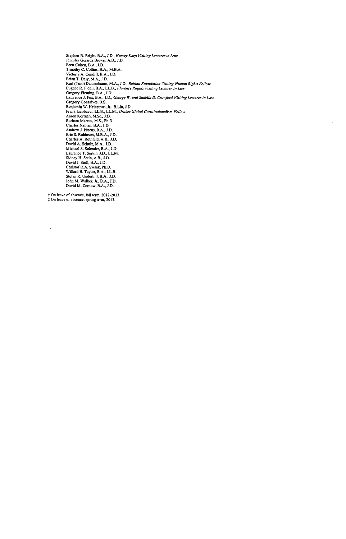Stephen B. Bright, B.A., J.D., *Harvey Karp Visiling Lecturer in Law*<br>Stephen B. Bright, B.A., J.D.,<br>Hemifer Gerarda Brown, A.B., J.D.<br>Timothy C. Collins, B.A., M.B.A.<br>Victoria A. Cullins, B.A., M.B.A.<br>Nicoria A. Culling, Charles A. Rothfeld, A.B., J.D.<br>David A. Schulz, M.A., J.D.<br>Michael S. Solender, B.A., J.D.<br>Laurence T. Sorkin, J.D., LL.M.<br>Sidney H. Stein, A.B., J.D.<br>Divid J. Stoll, B.A., J.D.<br>Christof R.A. Swaak, Ph.D.<br>Willard B. Taylo

On leave of absence, fall term, **2012-2013.** On leave of absence, spring term, **2013.**

 $\sim$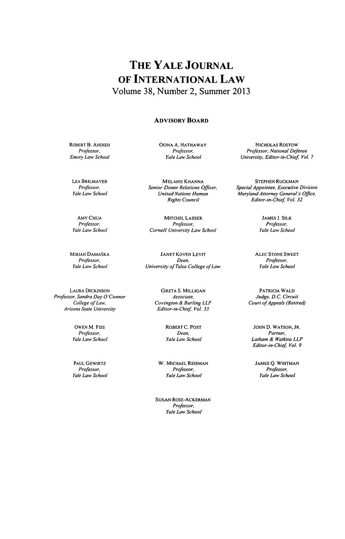# **THE YALE JOURNAL OF INTERNATIONAL LAW** Volume **38,** Number 2, Summer **2013**

### **ADVISORY BOARD**

ROBERT **B. AHDIEH** *Professor, Emory Law School*

**OONA A.** HATHAWAY *Professor, Yale Law School*

**LEA** BRILMAYER *Professor, Yale Law School*

AMY **CHUA** *Professor, Yale Law School*

MIRJAN DAMASKA Professor, *Yale Law School*

LAURA DICKINSON *Professor, Sandra Day O'Connor College ofLaw, Arizona State University*

> **OWEN** M. FISS *Professor, Yale Law School*

> **PAUL** GEWIRTZ Professor, *Yale* Law School

MELANIE KHANNA *Senior Donor* Relations Officer, *United* Nations *Human Rights* Council

MITCHEL **LASSER** *Professor, Cornell University Law School*

**JANET** KOVEN LEVIT *Dean,* University of Tulsa College ofLaw

> GRETA **S. MILLIGAN** *Associate, Covington & Burling LLP Editor-in-Chief Vol. 33*

> > ROBERT *C.* **POST** *Dean,* Yale Law School

**W. MICHAEL** REISMAN Professor, Yale Law School

**SUSAN** ROSE-ACKERMAN *Professor,* Yale Law School

NICHOLAS ROSTOW *Professor, National Defense University, Editor-in-Chief Vol. 7*

**STEPHEN** RUCKMAN *Special Appointee, Executive* Division *Maryland Attorney General's Office, Editor-in-Chief Vol. 32*

> **JAMES J.** SILK *Professor, Yale Law School*

**ALEC STONE** SWEET Professor, *Yale Law School*

PATRICIA WALD *Judge D.C. Circuit Court ofAppeals* (Retired)

JOHN **D. WATSON,** JR. Partner, Latham **&** *Watkins LLP* Editor-in-Chief, Vol. 9

**JAMES Q.** WHITMAN *Professor, Yale Law School*